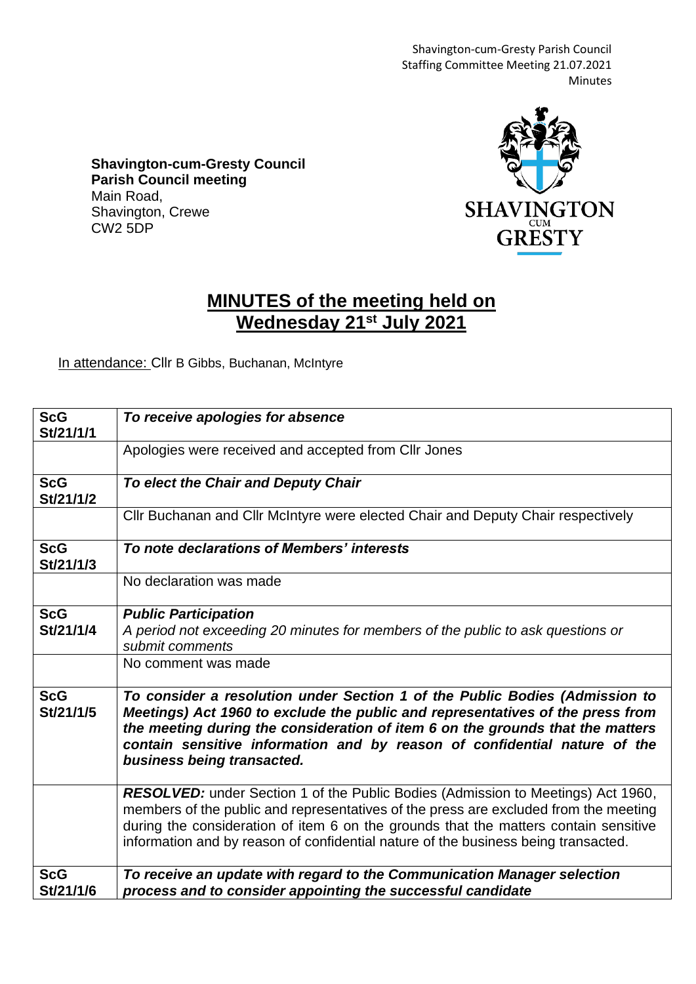Shavington-cum-Gresty Parish Council Staffing Committee Meeting 21.07.2021 Minutes

**Shavington-cum-Gresty Council Parish Council meeting** Main Road, Shavington, Crewe CW2 5DP



## **MINUTES of the meeting held on Wednesday 21st July 2021**

In attendance: Cllr B Gibbs, Buchanan, McIntyre

| <b>ScG</b><br>St/21/1/1 | To receive apologies for absence                                                                                                                                                                                                                                                                                                                           |
|-------------------------|------------------------------------------------------------------------------------------------------------------------------------------------------------------------------------------------------------------------------------------------------------------------------------------------------------------------------------------------------------|
|                         | Apologies were received and accepted from Cllr Jones                                                                                                                                                                                                                                                                                                       |
| <b>ScG</b><br>St/21/1/2 | To elect the Chair and Deputy Chair                                                                                                                                                                                                                                                                                                                        |
|                         | Cllr Buchanan and Cllr McIntyre were elected Chair and Deputy Chair respectively                                                                                                                                                                                                                                                                           |
| <b>ScG</b><br>St/21/1/3 | To note declarations of Members' interests                                                                                                                                                                                                                                                                                                                 |
|                         | No declaration was made                                                                                                                                                                                                                                                                                                                                    |
| <b>ScG</b><br>St/21/1/4 | <b>Public Participation</b><br>A period not exceeding 20 minutes for members of the public to ask questions or<br>submit comments                                                                                                                                                                                                                          |
|                         | No comment was made                                                                                                                                                                                                                                                                                                                                        |
| <b>ScG</b><br>St/21/1/5 | To consider a resolution under Section 1 of the Public Bodies (Admission to<br>Meetings) Act 1960 to exclude the public and representatives of the press from<br>the meeting during the consideration of item 6 on the grounds that the matters<br>contain sensitive information and by reason of confidential nature of the<br>business being transacted. |
|                         | RESOLVED: under Section 1 of the Public Bodies (Admission to Meetings) Act 1960,<br>members of the public and representatives of the press are excluded from the meeting<br>during the consideration of item 6 on the grounds that the matters contain sensitive<br>information and by reason of confidential nature of the business being transacted.     |
| <b>ScG</b><br>St/21/1/6 | To receive an update with regard to the Communication Manager selection<br>process and to consider appointing the successful candidate                                                                                                                                                                                                                     |